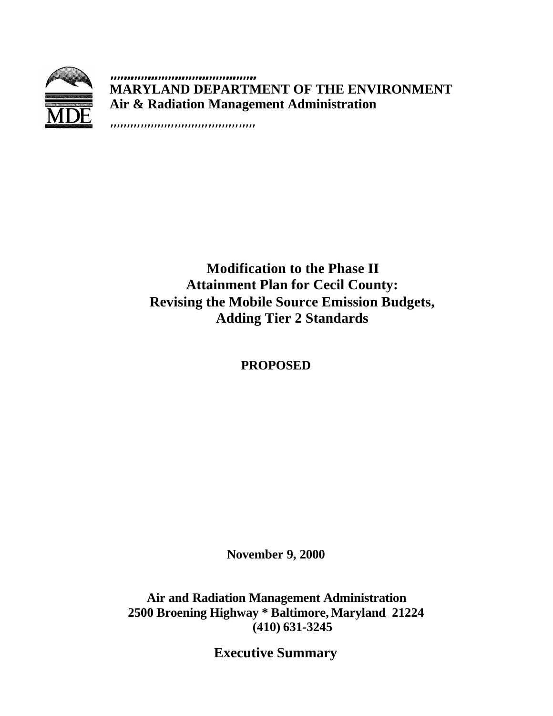

**,,,,,,,,,,,,,,,,,,,,,,,,,,,,,,,,,,,,,,,,,,, MARYLAND DEPARTMENT OF THE ENVIRONMENT Air & Radiation Management Administration**

,,,,,,,,,,,,,,,,,,,,,,,,,,,,,,,,,,,,,,,,,,,

# **Modification to the Phase II Attainment Plan for Cecil County: Revising the Mobile Source Emission Budgets, Adding Tier 2 Standards**

**PROPOSED**

**November 9, 2000**

**Air and Radiation Management Administration 2500 Broening Highway \* Baltimore, Maryland 21224 (410) 631-3245**

**Executive Summary**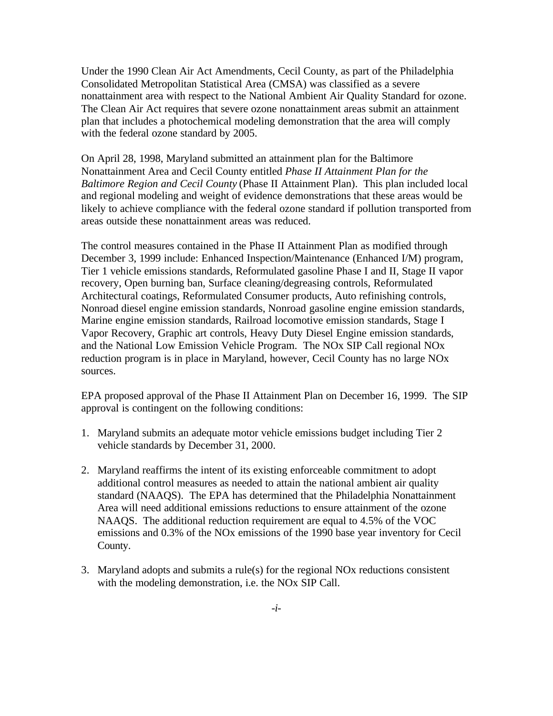Under the 1990 Clean Air Act Amendments, Cecil County, as part of the Philadelphia Consolidated Metropolitan Statistical Area (CMSA) was classified as a severe nonattainment area with respect to the National Ambient Air Quality Standard for ozone. The Clean Air Act requires that severe ozone nonattainment areas submit an attainment plan that includes a photochemical modeling demonstration that the area will comply with the federal ozone standard by 2005.

On April 28, 1998, Maryland submitted an attainment plan for the Baltimore Nonattainment Area and Cecil County entitled *Phase II Attainment Plan for the Baltimore Region and Cecil County* (Phase II Attainment Plan). This plan included local and regional modeling and weight of evidence demonstrations that these areas would be likely to achieve compliance with the federal ozone standard if pollution transported from areas outside these nonattainment areas was reduced.

The control measures contained in the Phase II Attainment Plan as modified through December 3, 1999 include: Enhanced Inspection/Maintenance (Enhanced I/M) program, Tier 1 vehicle emissions standards, Reformulated gasoline Phase I and II, Stage II vapor recovery, Open burning ban, Surface cleaning/degreasing controls, Reformulated Architectural coatings, Reformulated Consumer products, Auto refinishing controls, Nonroad diesel engine emission standards, Nonroad gasoline engine emission standards, Marine engine emission standards, Railroad locomotive emission standards, Stage I Vapor Recovery, Graphic art controls, Heavy Duty Diesel Engine emission standards, and the National Low Emission Vehicle Program. The NOx SIP Call regional NOx reduction program is in place in Maryland, however, Cecil County has no large NOx sources.

EPA proposed approval of the Phase II Attainment Plan on December 16, 1999. The SIP approval is contingent on the following conditions:

- 1. Maryland submits an adequate motor vehicle emissions budget including Tier 2 vehicle standards by December 31, 2000.
- 2. Maryland reaffirms the intent of its existing enforceable commitment to adopt additional control measures as needed to attain the national ambient air quality standard (NAAQS). The EPA has determined that the Philadelphia Nonattainment Area will need additional emissions reductions to ensure attainment of the ozone NAAQS. The additional reduction requirement are equal to 4.5% of the VOC emissions and 0.3% of the NOx emissions of the 1990 base year inventory for Cecil County.
- 3. Maryland adopts and submits a rule(s) for the regional NOx reductions consistent with the modeling demonstration, i.e. the NOx SIP Call.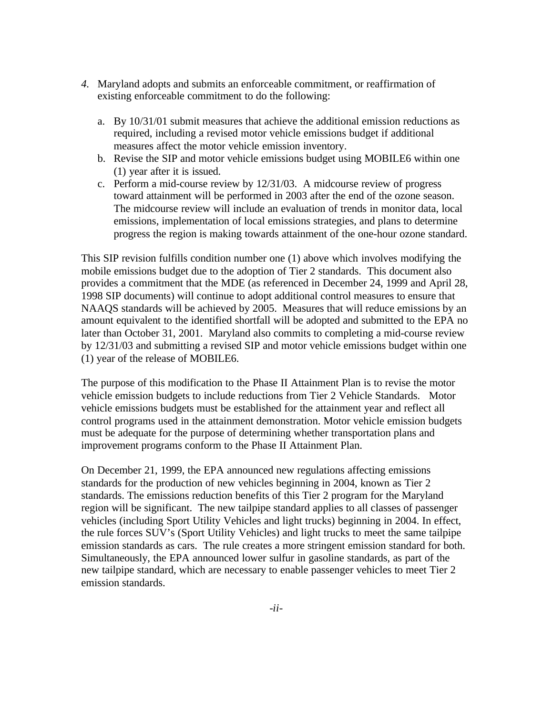- *4.* Maryland adopts and submits an enforceable commitment, or reaffirmation of existing enforceable commitment to do the following:
	- a. By 10/31/01 submit measures that achieve the additional emission reductions as required, including a revised motor vehicle emissions budget if additional measures affect the motor vehicle emission inventory.
	- b. Revise the SIP and motor vehicle emissions budget using MOBILE6 within one (1) year after it is issued.
	- c. Perform a mid-course review by 12/31/03. A midcourse review of progress toward attainment will be performed in 2003 after the end of the ozone season. The midcourse review will include an evaluation of trends in monitor data, local emissions, implementation of local emissions strategies, and plans to determine progress the region is making towards attainment of the one-hour ozone standard.

This SIP revision fulfills condition number one (1) above which involves modifying the mobile emissions budget due to the adoption of Tier 2 standards. This document also provides a commitment that the MDE (as referenced in December 24, 1999 and April 28, 1998 SIP documents) will continue to adopt additional control measures to ensure that NAAQS standards will be achieved by 2005. Measures that will reduce emissions by an amount equivalent to the identified shortfall will be adopted and submitted to the EPA no later than October 31, 2001. Maryland also commits to completing a mid-course review by 12/31/03 and submitting a revised SIP and motor vehicle emissions budget within one (1) year of the release of MOBILE6.

The purpose of this modification to the Phase II Attainment Plan is to revise the motor vehicle emission budgets to include reductions from Tier 2 Vehicle Standards. Motor vehicle emissions budgets must be established for the attainment year and reflect all control programs used in the attainment demonstration. Motor vehicle emission budgets must be adequate for the purpose of determining whether transportation plans and improvement programs conform to the Phase II Attainment Plan.

On December 21, 1999, the EPA announced new regulations affecting emissions standards for the production of new vehicles beginning in 2004, known as Tier 2 standards. The emissions reduction benefits of this Tier 2 program for the Maryland region will be significant. The new tailpipe standard applies to all classes of passenger vehicles (including Sport Utility Vehicles and light trucks) beginning in 2004. In effect, the rule forces SUV's (Sport Utility Vehicles) and light trucks to meet the same tailpipe emission standards as cars. The rule creates a more stringent emission standard for both. Simultaneously, the EPA announced lower sulfur in gasoline standards, as part of the new tailpipe standard, which are necessary to enable passenger vehicles to meet Tier 2 emission standards.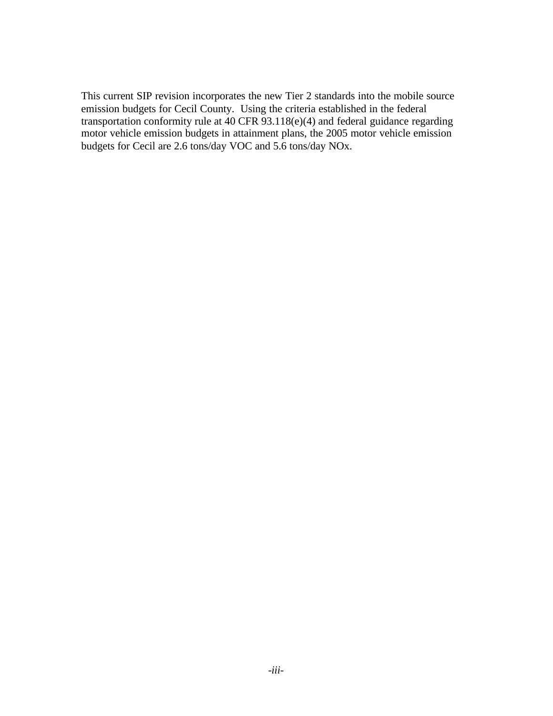This current SIP revision incorporates the new Tier 2 standards into the mobile source emission budgets for Cecil County. Using the criteria established in the federal transportation conformity rule at 40 CFR 93.118(e)(4) and federal guidance regarding motor vehicle emission budgets in attainment plans, the 2005 motor vehicle emission budgets for Cecil are 2.6 tons/day VOC and 5.6 tons/day NOx.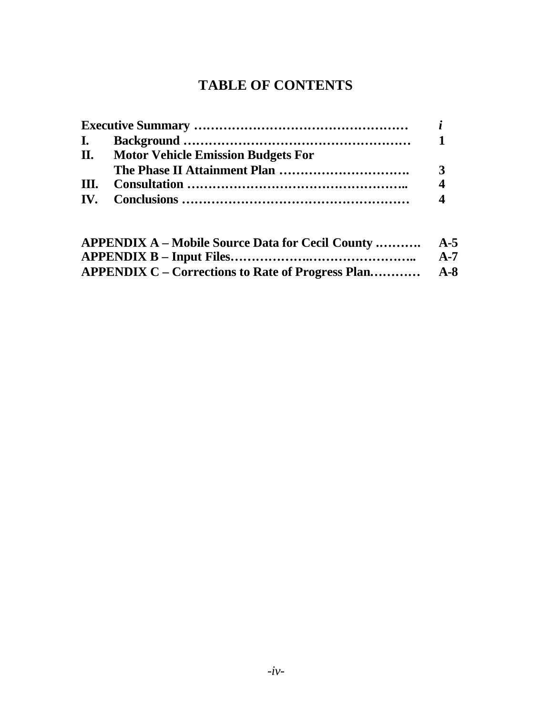# **TABLE OF CONTENTS**

| II. Motor Vehicle Emission Budgets For |                        |
|----------------------------------------|------------------------|
|                                        |                        |
|                                        | $\boldsymbol{\Lambda}$ |
|                                        |                        |
|                                        |                        |

| $A-7$ |
|-------|
|       |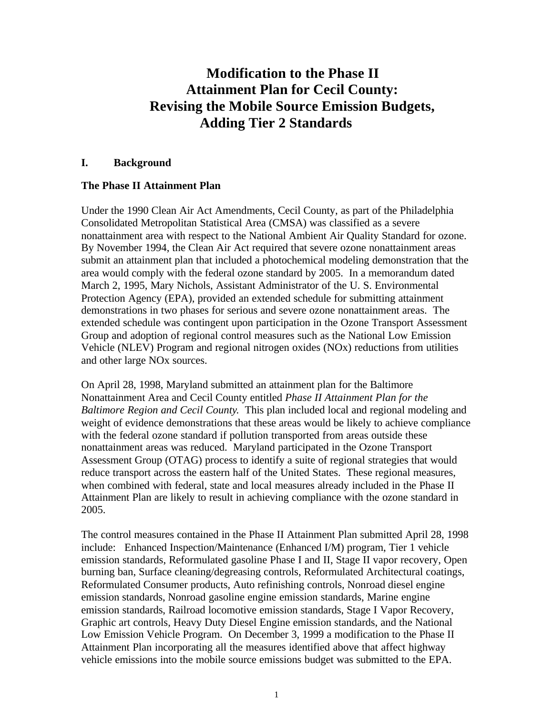# **Modification to the Phase II Attainment Plan for Cecil County: Revising the Mobile Source Emission Budgets, Adding Tier 2 Standards**

#### **I. Background**

#### **The Phase II Attainment Plan**

Under the 1990 Clean Air Act Amendments, Cecil County, as part of the Philadelphia Consolidated Metropolitan Statistical Area (CMSA) was classified as a severe nonattainment area with respect to the National Ambient Air Quality Standard for ozone. By November 1994, the Clean Air Act required that severe ozone nonattainment areas submit an attainment plan that included a photochemical modeling demonstration that the area would comply with the federal ozone standard by 2005. In a memorandum dated March 2, 1995, Mary Nichols, Assistant Administrator of the U. S. Environmental Protection Agency (EPA), provided an extended schedule for submitting attainment demonstrations in two phases for serious and severe ozone nonattainment areas. The extended schedule was contingent upon participation in the Ozone Transport Assessment Group and adoption of regional control measures such as the National Low Emission Vehicle (NLEV) Program and regional nitrogen oxides (NOx) reductions from utilities and other large NOx sources.

On April 28, 1998, Maryland submitted an attainment plan for the Baltimore Nonattainment Area and Cecil County entitled *Phase II Attainment Plan for the Baltimore Region and Cecil County*. This plan included local and regional modeling and weight of evidence demonstrations that these areas would be likely to achieve compliance with the federal ozone standard if pollution transported from areas outside these nonattainment areas was reduced. Maryland participated in the Ozone Transport Assessment Group (OTAG) process to identify a suite of regional strategies that would reduce transport across the eastern half of the United States. These regional measures, when combined with federal, state and local measures already included in the Phase II Attainment Plan are likely to result in achieving compliance with the ozone standard in 2005.

The control measures contained in the Phase II Attainment Plan submitted April 28, 1998 include: Enhanced Inspection/Maintenance (Enhanced I/M) program, Tier 1 vehicle emission standards, Reformulated gasoline Phase I and II, Stage II vapor recovery, Open burning ban, Surface cleaning/degreasing controls, Reformulated Architectural coatings, Reformulated Consumer products, Auto refinishing controls, Nonroad diesel engine emission standards, Nonroad gasoline engine emission standards, Marine engine emission standards, Railroad locomotive emission standards, Stage I Vapor Recovery, Graphic art controls, Heavy Duty Diesel Engine emission standards, and the National Low Emission Vehicle Program. On December 3, 1999 a modification to the Phase II Attainment Plan incorporating all the measures identified above that affect highway vehicle emissions into the mobile source emissions budget was submitted to the EPA.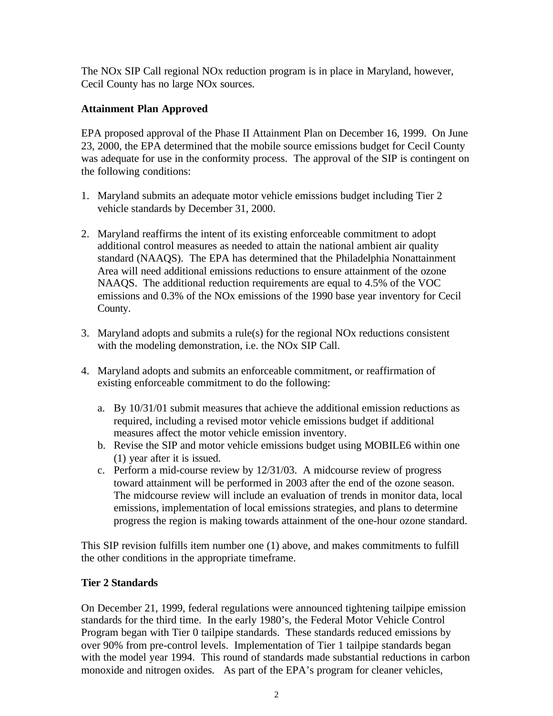The NOx SIP Call regional NOx reduction program is in place in Maryland, however, Cecil County has no large NOx sources.

#### **Attainment Plan Approved**

EPA proposed approval of the Phase II Attainment Plan on December 16, 1999. On June 23, 2000, the EPA determined that the mobile source emissions budget for Cecil County was adequate for use in the conformity process. The approval of the SIP is contingent on the following conditions:

- 1. Maryland submits an adequate motor vehicle emissions budget including Tier 2 vehicle standards by December 31, 2000.
- 2. Maryland reaffirms the intent of its existing enforceable commitment to adopt additional control measures as needed to attain the national ambient air quality standard (NAAQS). The EPA has determined that the Philadelphia Nonattainment Area will need additional emissions reductions to ensure attainment of the ozone NAAQS. The additional reduction requirements are equal to 4.5% of the VOC emissions and 0.3% of the NOx emissions of the 1990 base year inventory for Cecil County.
- 3. Maryland adopts and submits a rule(s) for the regional NOx reductions consistent with the modeling demonstration, i.e. the NOx SIP Call.
- 4. Maryland adopts and submits an enforceable commitment, or reaffirmation of existing enforceable commitment to do the following:
	- a. By 10/31/01 submit measures that achieve the additional emission reductions as required, including a revised motor vehicle emissions budget if additional measures affect the motor vehicle emission inventory.
	- b. Revise the SIP and motor vehicle emissions budget using MOBILE6 within one (1) year after it is issued.
	- c. Perform a mid-course review by 12/31/03. A midcourse review of progress toward attainment will be performed in 2003 after the end of the ozone season. The midcourse review will include an evaluation of trends in monitor data, local emissions, implementation of local emissions strategies, and plans to determine progress the region is making towards attainment of the one-hour ozone standard.

This SIP revision fulfills item number one (1) above, and makes commitments to fulfill the other conditions in the appropriate timeframe.

#### **Tier 2 Standards**

On December 21, 1999, federal regulations were announced tightening tailpipe emission standards for the third time. In the early 1980's, the Federal Motor Vehicle Control Program began with Tier 0 tailpipe standards. These standards reduced emissions by over 90% from pre-control levels. Implementation of Tier 1 tailpipe standards began with the model year 1994. This round of standards made substantial reductions in carbon monoxide and nitrogen oxides. As part of the EPA's program for cleaner vehicles,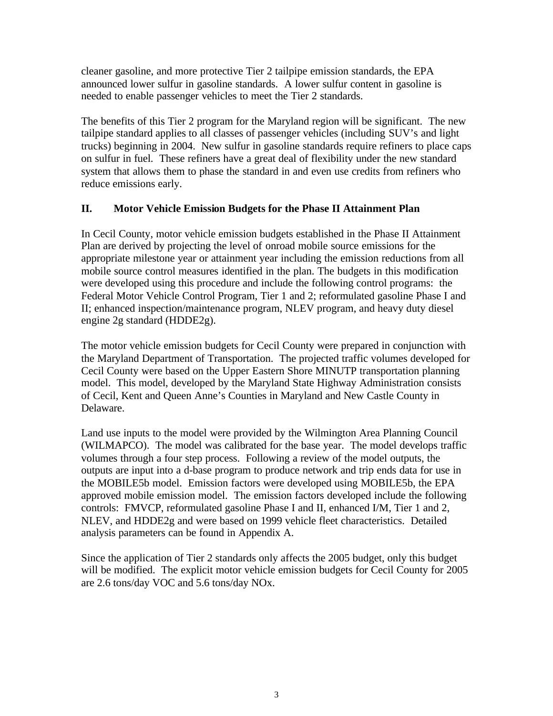cleaner gasoline, and more protective Tier 2 tailpipe emission standards, the EPA announced lower sulfur in gasoline standards. A lower sulfur content in gasoline is needed to enable passenger vehicles to meet the Tier 2 standards.

The benefits of this Tier 2 program for the Maryland region will be significant. The new tailpipe standard applies to all classes of passenger vehicles (including SUV's and light trucks) beginning in 2004. New sulfur in gasoline standards require refiners to place caps on sulfur in fuel. These refiners have a great deal of flexibility under the new standard system that allows them to phase the standard in and even use credits from refiners who reduce emissions early.

#### **II. Motor Vehicle Emission Budgets for the Phase II Attainment Plan**

In Cecil County, motor vehicle emission budgets established in the Phase II Attainment Plan are derived by projecting the level of onroad mobile source emissions for the appropriate milestone year or attainment year including the emission reductions from all mobile source control measures identified in the plan. The budgets in this modification were developed using this procedure and include the following control programs: the Federal Motor Vehicle Control Program, Tier 1 and 2; reformulated gasoline Phase I and II; enhanced inspection/maintenance program, NLEV program, and heavy duty diesel engine 2g standard (HDDE2g).

The motor vehicle emission budgets for Cecil County were prepared in conjunction with the Maryland Department of Transportation. The projected traffic volumes developed for Cecil County were based on the Upper Eastern Shore MINUTP transportation planning model. This model, developed by the Maryland State Highway Administration consists of Cecil, Kent and Queen Anne's Counties in Maryland and New Castle County in Delaware.

Land use inputs to the model were provided by the Wilmington Area Planning Council (WILMAPCO). The model was calibrated for the base year. The model develops traffic volumes through a four step process. Following a review of the model outputs, the outputs are input into a d-base program to produce network and trip ends data for use in the MOBILE5b model. Emission factors were developed using MOBILE5b, the EPA approved mobile emission model. The emission factors developed include the following controls: FMVCP, reformulated gasoline Phase I and II, enhanced I/M, Tier 1 and 2, NLEV, and HDDE2g and were based on 1999 vehicle fleet characteristics. Detailed analysis parameters can be found in Appendix A.

Since the application of Tier 2 standards only affects the 2005 budget, only this budget will be modified. The explicit motor vehicle emission budgets for Cecil County for 2005 are 2.6 tons/day VOC and 5.6 tons/day NOx.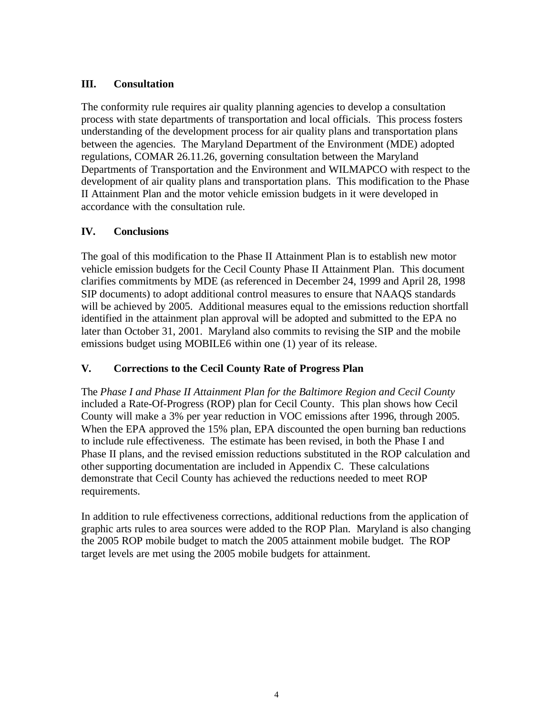### **III. Consultation**

The conformity rule requires air quality planning agencies to develop a consultation process with state departments of transportation and local officials. This process fosters understanding of the development process for air quality plans and transportation plans between the agencies. The Maryland Department of the Environment (MDE) adopted regulations, COMAR 26.11.26, governing consultation between the Maryland Departments of Transportation and the Environment and WILMAPCO with respect to the development of air quality plans and transportation plans. This modification to the Phase II Attainment Plan and the motor vehicle emission budgets in it were developed in accordance with the consultation rule.

### **IV. Conclusions**

The goal of this modification to the Phase II Attainment Plan is to establish new motor vehicle emission budgets for the Cecil County Phase II Attainment Plan. This document clarifies commitments by MDE (as referenced in December 24, 1999 and April 28, 1998 SIP documents) to adopt additional control measures to ensure that NAAQS standards will be achieved by 2005. Additional measures equal to the emissions reduction shortfall identified in the attainment plan approval will be adopted and submitted to the EPA no later than October 31, 2001. Maryland also commits to revising the SIP and the mobile emissions budget using MOBILE6 within one (1) year of its release.

## **V. Corrections to the Cecil County Rate of Progress Plan**

The *Phase I and Phase II Attainment Plan for the Baltimore Region and Cecil County* included a Rate-Of-Progress (ROP) plan for Cecil County. This plan shows how Cecil County will make a 3% per year reduction in VOC emissions after 1996, through 2005. When the EPA approved the 15% plan, EPA discounted the open burning ban reductions to include rule effectiveness. The estimate has been revised, in both the Phase I and Phase II plans, and the revised emission reductions substituted in the ROP calculation and other supporting documentation are included in Appendix C. These calculations demonstrate that Cecil County has achieved the reductions needed to meet ROP requirements.

In addition to rule effectiveness corrections, additional reductions from the application of graphic arts rules to area sources were added to the ROP Plan. Maryland is also changing the 2005 ROP mobile budget to match the 2005 attainment mobile budget. The ROP target levels are met using the 2005 mobile budgets for attainment.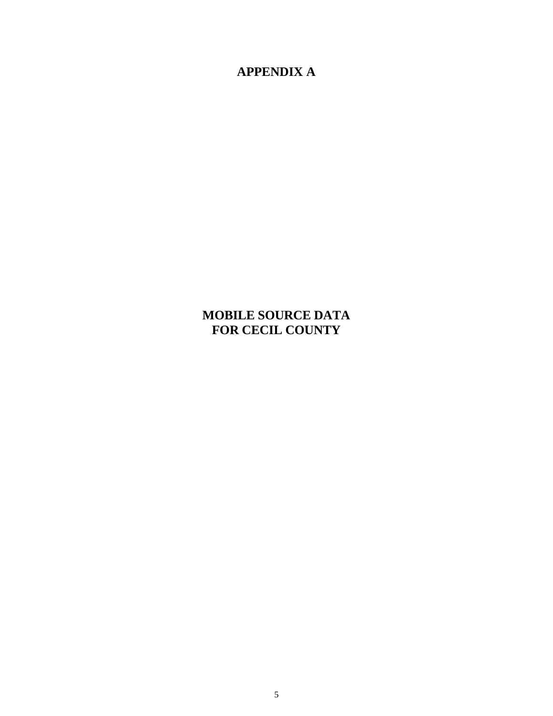**APPENDIX A**

# **MOBILE SOURCE DATA FOR CECIL COUNTY**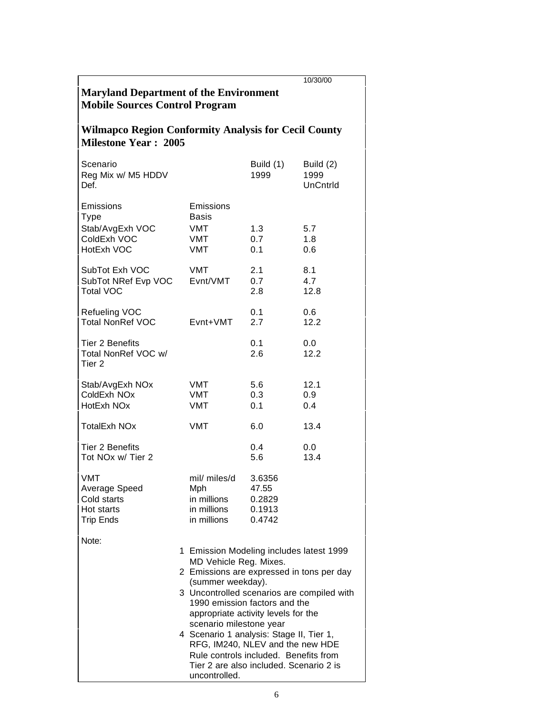| 10/30/00<br><b>Maryland Department of the Environment</b><br><b>Mobile Sources Control Program</b> |                                                                                                                                                                                                                                                                                                                                                                                                                                                                            |                                               |                                      |  |  |  |
|----------------------------------------------------------------------------------------------------|----------------------------------------------------------------------------------------------------------------------------------------------------------------------------------------------------------------------------------------------------------------------------------------------------------------------------------------------------------------------------------------------------------------------------------------------------------------------------|-----------------------------------------------|--------------------------------------|--|--|--|
| <b>Wilmapco Region Conformity Analysis for Cecil County</b><br><b>Milestone Year: 2005</b>         |                                                                                                                                                                                                                                                                                                                                                                                                                                                                            |                                               |                                      |  |  |  |
| Scenario<br>Reg Mix w/ M5 HDDV<br>Def.                                                             |                                                                                                                                                                                                                                                                                                                                                                                                                                                                            | Build (1)<br>1999                             | Build (2)<br>1999<br><b>UnCntrld</b> |  |  |  |
| Emissions<br><b>Type</b><br>Stab/AvgExh VOC<br>ColdExh VOC<br>HotExh VOC                           | Emissions<br><b>Basis</b><br>VMT<br>VMT<br>VMT                                                                                                                                                                                                                                                                                                                                                                                                                             | 1.3<br>0.7<br>0.1                             | 5.7<br>1.8<br>0.6                    |  |  |  |
| SubTot Exh VOC<br>SubTot NRef Evp VOC<br><b>Total VOC</b>                                          | VMT<br>Evnt/VMT                                                                                                                                                                                                                                                                                                                                                                                                                                                            | 2.1<br>0.7<br>2.8                             | 8.1<br>4.7<br>12.8                   |  |  |  |
| Refueling VOC<br><b>Total NonRef VOC</b>                                                           | Evnt+VMT                                                                                                                                                                                                                                                                                                                                                                                                                                                                   | 0.1<br>2.7                                    | 0.6<br>12.2                          |  |  |  |
| Tier 2 Benefits<br>Total NonRef VOC w/<br>Tier 2                                                   |                                                                                                                                                                                                                                                                                                                                                                                                                                                                            | 0.1<br>2.6                                    | 0.0<br>12.2                          |  |  |  |
| Stab/AvgExh NOx<br>ColdExh NOx<br>HotExh NOx                                                       | VMT<br><b>VMT</b><br>VMT                                                                                                                                                                                                                                                                                                                                                                                                                                                   | 5.6<br>0.3<br>0.1                             | 12.1<br>0.9<br>0.4                   |  |  |  |
| <b>TotalExh NOx</b>                                                                                | <b>VMT</b>                                                                                                                                                                                                                                                                                                                                                                                                                                                                 | 6.0                                           | 13.4                                 |  |  |  |
| <b>Tier 2 Benefits</b><br>Tot NOx w/ Tier 2                                                        |                                                                                                                                                                                                                                                                                                                                                                                                                                                                            | $0.4^{\circ}$<br>5.6                          | 0.0<br>13.4                          |  |  |  |
| <b>VMT</b><br>Average Speed<br>Cold starts<br>Hot starts<br><b>Trip Ends</b>                       | mil/ miles/d<br>Mph<br>in millions<br>in millions<br>in millions                                                                                                                                                                                                                                                                                                                                                                                                           | 3.6356<br>47.55<br>0.2829<br>0.1913<br>0.4742 |                                      |  |  |  |
| Note:                                                                                              | 1 Emission Modeling includes latest 1999<br>MD Vehicle Reg. Mixes.<br>2 Emissions are expressed in tons per day<br>(summer weekday).<br>3 Uncontrolled scenarios are compiled with<br>1990 emission factors and the<br>appropriate activity levels for the<br>scenario milestone year<br>4 Scenario 1 analysis: Stage II, Tier 1,<br>RFG, IM240, NLEV and the new HDE<br>Rule controls included. Benefits from<br>Tier 2 are also included. Scenario 2 is<br>uncontrolled. |                                               |                                      |  |  |  |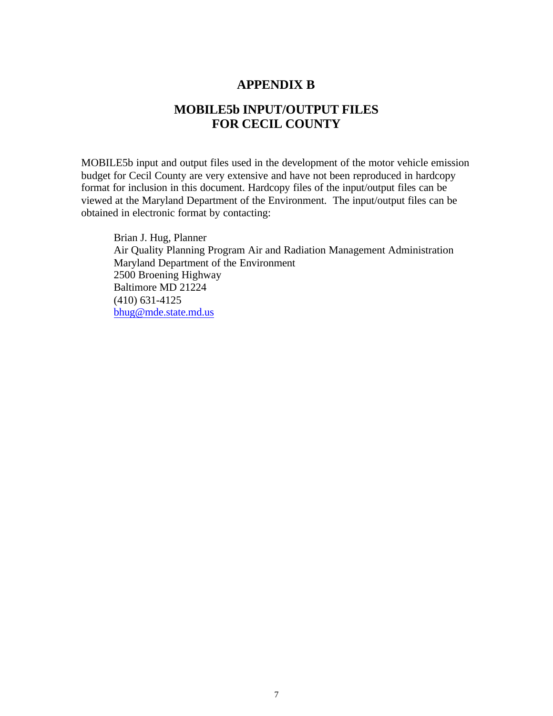#### **APPENDIX B**

## **MOBILE5b INPUT/OUTPUT FILES FOR CECIL COUNTY**

MOBILE5b input and output files used in the development of the motor vehicle emission budget for Cecil County are very extensive and have not been reproduced in hardcopy format for inclusion in this document. Hardcopy files of the input/output files can be viewed at the Maryland Department of the Environment. The input/output files can be obtained in electronic format by contacting:

Brian J. Hug, Planner Air Quality Planning Program Air and Radiation Management Administration Maryland Department of the Environment 2500 Broening Highway Baltimore MD 21224 (410) 631-4125 bhug@mde.state.md.us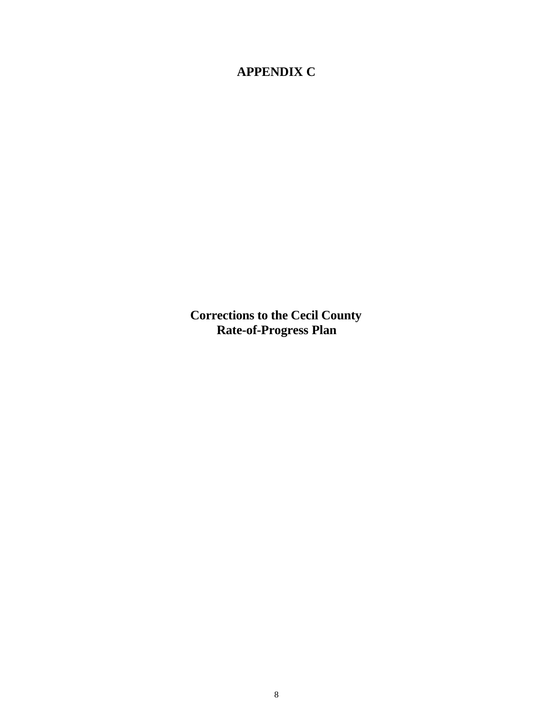# **APPENDIX C**

**Corrections to the Cecil County Rate-of-Progress Plan**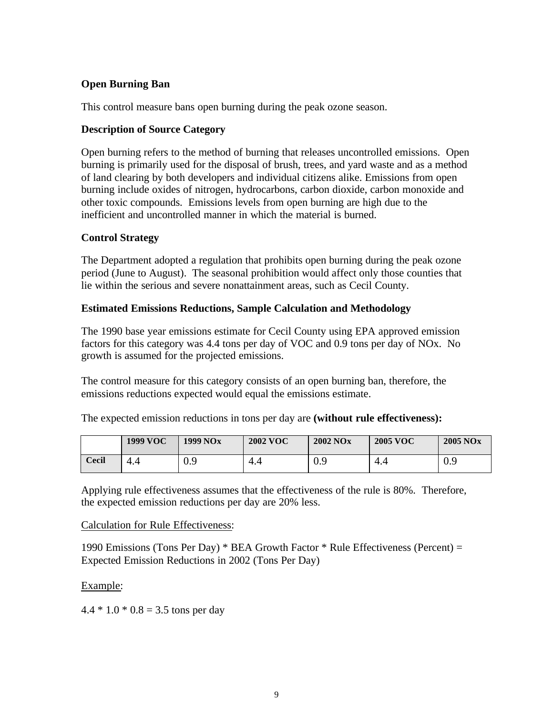#### **Open Burning Ban**

This control measure bans open burning during the peak ozone season.

#### **Description of Source Category**

Open burning refers to the method of burning that releases uncontrolled emissions. Open burning is primarily used for the disposal of brush, trees, and yard waste and as a method of land clearing by both developers and individual citizens alike. Emissions from open burning include oxides of nitrogen, hydrocarbons, carbon dioxide, carbon monoxide and other toxic compounds. Emissions levels from open burning are high due to the inefficient and uncontrolled manner in which the material is burned.

#### **Control Strategy**

The Department adopted a regulation that prohibits open burning during the peak ozone period (June to August). The seasonal prohibition would affect only those counties that lie within the serious and severe nonattainment areas, such as Cecil County.

#### **Estimated Emissions Reductions, Sample Calculation and Methodology**

The 1990 base year emissions estimate for Cecil County using EPA approved emission factors for this category was 4.4 tons per day of VOC and 0.9 tons per day of NOx. No growth is assumed for the projected emissions.

The control measure for this category consists of an open burning ban, therefore, the emissions reductions expected would equal the emissions estimate.

|  | The expected emission reductions in tons per day are (without rule effectiveness): |
|--|------------------------------------------------------------------------------------|
|--|------------------------------------------------------------------------------------|

|              | <b>1999 VOC</b> | 1999 NO <sub>x</sub> | <b>2002 VOC</b> | <b>2002 NOx</b> | <b>2005 VOC</b> | <b>2005 NOx</b> |
|--------------|-----------------|----------------------|-----------------|-----------------|-----------------|-----------------|
| <b>Cecil</b> | 4.4             | ΛQ<br>v.,            | 4.4             | nα<br>v.,       | 4.4             | 0.9             |

Applying rule effectiveness assumes that the effectiveness of the rule is 80%. Therefore, the expected emission reductions per day are 20% less.

#### Calculation for Rule Effectiveness:

1990 Emissions (Tons Per Day) \* BEA Growth Factor \* Rule Effectiveness (Percent) = Expected Emission Reductions in 2002 (Tons Per Day)

#### Example:

 $4.4 * 1.0 * 0.8 = 3.5$  tons per day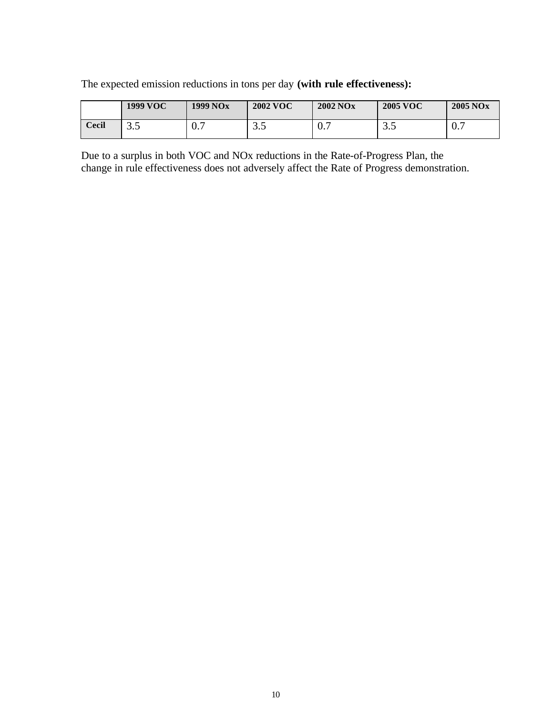The expected emission reductions in tons per day **(with rule effectiveness):**

|       | 1999 VOC                    | 1999 NO <sub>x</sub> | <b>2002 VOC</b> | <b>2002 NOx</b> | <b>2005 VOC</b>           | <b>2005 NOx</b> |
|-------|-----------------------------|----------------------|-----------------|-----------------|---------------------------|-----------------|
| Cecil | $\Omega$ $\epsilon$<br>ن. ب | 0.7                  | っょ<br>ن. ب      | 0.7             | $\cap$ $\vdash$<br>ຸບ . ບ | $\mathbf{U}$ ., |

Due to a surplus in both VOC and NOx reductions in the Rate-of-Progress Plan, the change in rule effectiveness does not adversely affect the Rate of Progress demonstration.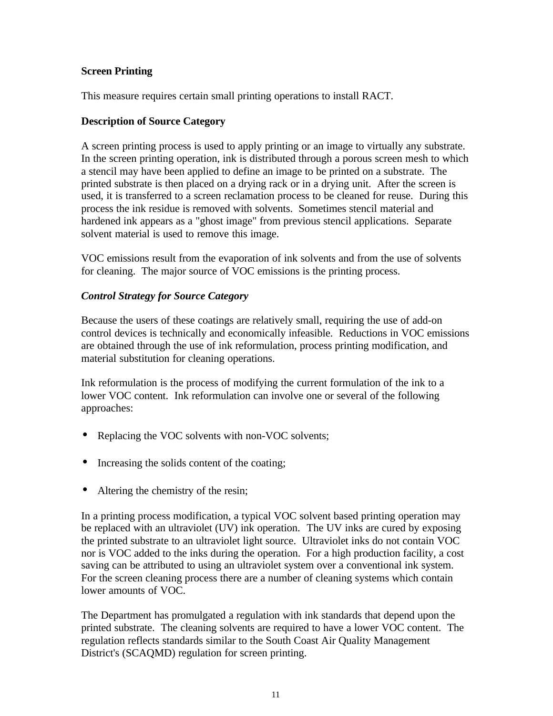#### **Screen Printing**

This measure requires certain small printing operations to install RACT.

#### **Description of Source Category**

A screen printing process is used to apply printing or an image to virtually any substrate. In the screen printing operation, ink is distributed through a porous screen mesh to which a stencil may have been applied to define an image to be printed on a substrate. The printed substrate is then placed on a drying rack or in a drying unit. After the screen is used, it is transferred to a screen reclamation process to be cleaned for reuse. During this process the ink residue is removed with solvents. Sometimes stencil material and hardened ink appears as a "ghost image" from previous stencil applications. Separate solvent material is used to remove this image.

VOC emissions result from the evaporation of ink solvents and from the use of solvents for cleaning. The major source of VOC emissions is the printing process.

#### *Control Strategy for Source Category*

Because the users of these coatings are relatively small, requiring the use of add-on control devices is technically and economically infeasible. Reductions in VOC emissions are obtained through the use of ink reformulation, process printing modification, and material substitution for cleaning operations.

Ink reformulation is the process of modifying the current formulation of the ink to a lower VOC content. Ink reformulation can involve one or several of the following approaches:

- Replacing the VOC solvents with non-VOC solvents;
- Increasing the solids content of the coating;
- Altering the chemistry of the resin;

In a printing process modification, a typical VOC solvent based printing operation may be replaced with an ultraviolet (UV) ink operation. The UV inks are cured by exposing the printed substrate to an ultraviolet light source. Ultraviolet inks do not contain VOC nor is VOC added to the inks during the operation. For a high production facility, a cost saving can be attributed to using an ultraviolet system over a conventional ink system. For the screen cleaning process there are a number of cleaning systems which contain lower amounts of VOC.

The Department has promulgated a regulation with ink standards that depend upon the printed substrate. The cleaning solvents are required to have a lower VOC content. The regulation reflects standards similar to the South Coast Air Quality Management District's (SCAQMD) regulation for screen printing.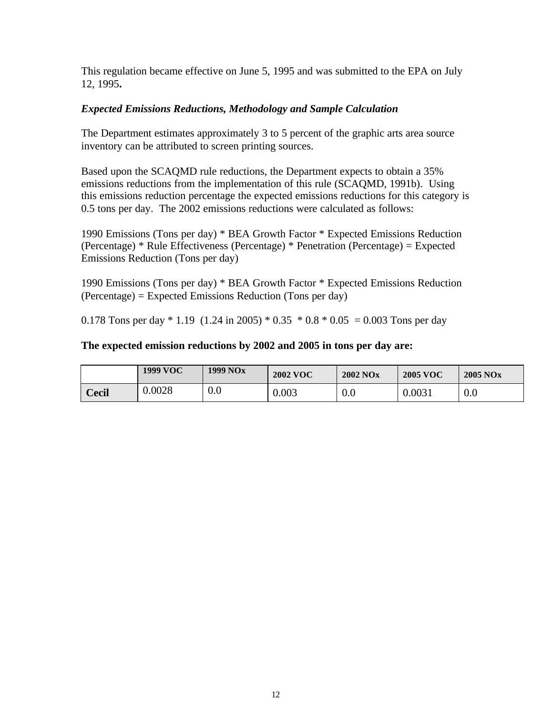This regulation became effective on June 5, 1995 and was submitted to the EPA on July 12, 1995**.**

### *Expected Emissions Reductions, Methodology and Sample Calculation*

The Department estimates approximately 3 to 5 percent of the graphic arts area source inventory can be attributed to screen printing sources.

Based upon the SCAQMD rule reductions, the Department expects to obtain a 35% emissions reductions from the implementation of this rule (SCAQMD, 1991b). Using this emissions reduction percentage the expected emissions reductions for this category is 0.5 tons per day. The 2002 emissions reductions were calculated as follows:

1990 Emissions (Tons per day) \* BEA Growth Factor \* Expected Emissions Reduction (Percentage) \* Rule Effectiveness (Percentage) \* Penetration (Percentage) = Expected Emissions Reduction (Tons per day)

1990 Emissions (Tons per day) \* BEA Growth Factor \* Expected Emissions Reduction (Percentage) = Expected Emissions Reduction (Tons per day)

0.178 Tons per day  $*$  1.19 (1.24 in 2005)  $*$  0.35  $*$  0.8  $*$  0.05 = 0.003 Tons per day

#### **The expected emission reductions by 2002 and 2005 in tons per day are:**

|       | <b>1999 VOC</b> | 1999 NO <sub>x</sub> | <b>2002 VOC</b> | <b>2002 NOx</b> | <b>2005 VOC</b> | $2005$ NO <sub>x</sub> |
|-------|-----------------|----------------------|-----------------|-----------------|-----------------|------------------------|
| Cecil | 0.0028          | 0.0                  | $0.003\,$       | 0.0             | 0.0031          | 0.0                    |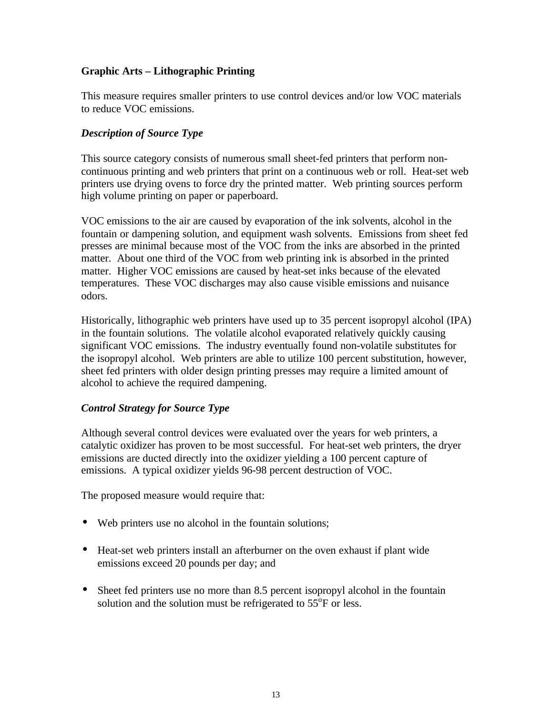#### **Graphic Arts – Lithographic Printing**

This measure requires smaller printers to use control devices and/or low VOC materials to reduce VOC emissions.

#### *Description of Source Type*

This source category consists of numerous small sheet-fed printers that perform noncontinuous printing and web printers that print on a continuous web or roll. Heat-set web printers use drying ovens to force dry the printed matter. Web printing sources perform high volume printing on paper or paperboard.

VOC emissions to the air are caused by evaporation of the ink solvents, alcohol in the fountain or dampening solution, and equipment wash solvents. Emissions from sheet fed presses are minimal because most of the VOC from the inks are absorbed in the printed matter. About one third of the VOC from web printing ink is absorbed in the printed matter. Higher VOC emissions are caused by heat-set inks because of the elevated temperatures. These VOC discharges may also cause visible emissions and nuisance odors.

Historically, lithographic web printers have used up to 35 percent isopropyl alcohol (IPA) in the fountain solutions. The volatile alcohol evaporated relatively quickly causing significant VOC emissions. The industry eventually found non-volatile substitutes for the isopropyl alcohol. Web printers are able to utilize 100 percent substitution, however, sheet fed printers with older design printing presses may require a limited amount of alcohol to achieve the required dampening.

#### *Control Strategy for Source Type*

Although several control devices were evaluated over the years for web printers, a catalytic oxidizer has proven to be most successful. For heat-set web printers, the dryer emissions are ducted directly into the oxidizer yielding a 100 percent capture of emissions. A typical oxidizer yields 96-98 percent destruction of VOC.

The proposed measure would require that:

- Web printers use no alcohol in the fountain solutions;
- Heat-set web printers install an afterburner on the oven exhaust if plant wide emissions exceed 20 pounds per day; and
- Sheet fed printers use no more than 8.5 percent isopropyl alcohol in the fountain solution and the solution must be refrigerated to  $55^{\circ}$ F or less.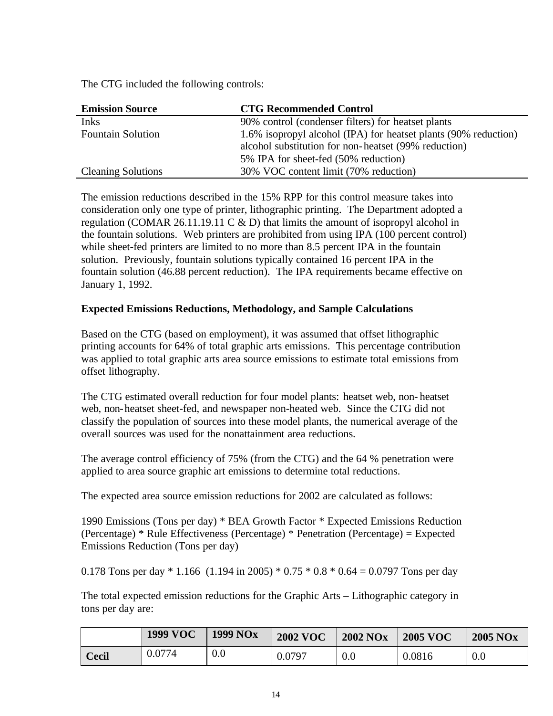The CTG included the following controls:

| <b>Emission Source</b>    | <b>CTG Recommended Control</b>                                  |
|---------------------------|-----------------------------------------------------------------|
| <b>Inks</b>               | 90% control (condenser filters) for heatset plants              |
| <b>Fountain Solution</b>  | 1.6% isopropyl alcohol (IPA) for heatset plants (90% reduction) |
|                           | alcohol substitution for non-heatset (99% reduction)            |
|                           | 5% IPA for sheet-fed (50% reduction)                            |
| <b>Cleaning Solutions</b> | 30% VOC content limit (70% reduction)                           |

The emission reductions described in the 15% RPP for this control measure takes into consideration only one type of printer, lithographic printing. The Department adopted a regulation (COMAR 26.11.19.11 C  $&$  D) that limits the amount of isopropyl alcohol in the fountain solutions. Web printers are prohibited from using IPA (100 percent control) while sheet-fed printers are limited to no more than 8.5 percent IPA in the fountain solution. Previously, fountain solutions typically contained 16 percent IPA in the fountain solution (46.88 percent reduction). The IPA requirements became effective on January 1, 1992.

#### **Expected Emissions Reductions, Methodology, and Sample Calculations**

Based on the CTG (based on employment), it was assumed that offset lithographic printing accounts for 64% of total graphic arts emissions. This percentage contribution was applied to total graphic arts area source emissions to estimate total emissions from offset lithography.

The CTG estimated overall reduction for four model plants: heatset web, non- heatset web, non-heatset sheet-fed, and newspaper non-heated web. Since the CTG did not classify the population of sources into these model plants, the numerical average of the overall sources was used for the nonattainment area reductions.

The average control efficiency of 75% (from the CTG) and the 64 % penetration were applied to area source graphic art emissions to determine total reductions.

The expected area source emission reductions for 2002 are calculated as follows:

1990 Emissions (Tons per day) \* BEA Growth Factor \* Expected Emissions Reduction (Percentage) \* Rule Effectiveness (Percentage) \* Penetration (Percentage) = Expected Emissions Reduction (Tons per day)

0.178 Tons per day  $*$  1.166 (1.194 in 2005)  $*$  0.75  $*$  0.8  $*$  0.64 = 0.0797 Tons per day

The total expected emission reductions for the Graphic Arts – Lithographic category in tons per day are:

|       | <b>1999 VOC</b> | <b>1999 NOx</b> | <b>2002 VOC</b> | <b>2002 NOx</b> | <b>2005 VOC</b> | <b>2005 NOx</b> |
|-------|-----------------|-----------------|-----------------|-----------------|-----------------|-----------------|
| Cecil | 0.0774          | 0.0             | 0.0797          | 0.0             | 0.0816          | 0.0             |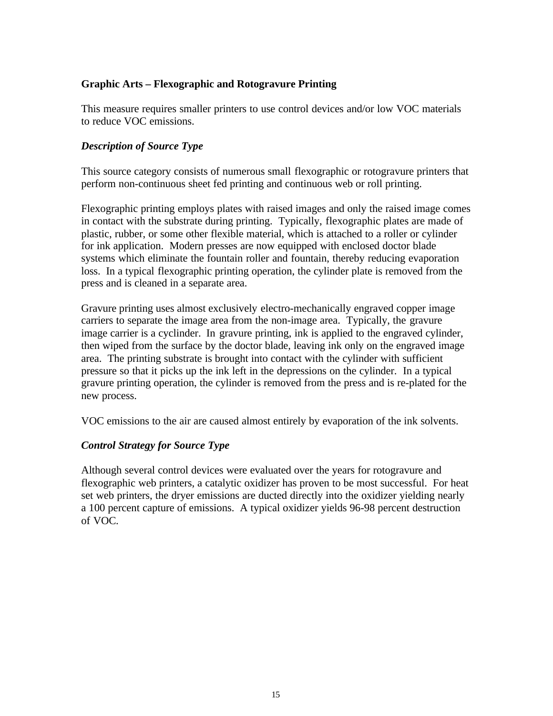#### **Graphic Arts – Flexographic and Rotogravure Printing**

This measure requires smaller printers to use control devices and/or low VOC materials to reduce VOC emissions.

#### *Description of Source Type*

This source category consists of numerous small flexographic or rotogravure printers that perform non-continuous sheet fed printing and continuous web or roll printing.

Flexographic printing employs plates with raised images and only the raised image comes in contact with the substrate during printing. Typically, flexographic plates are made of plastic, rubber, or some other flexible material, which is attached to a roller or cylinder for ink application. Modern presses are now equipped with enclosed doctor blade systems which eliminate the fountain roller and fountain, thereby reducing evaporation loss. In a typical flexographic printing operation, the cylinder plate is removed from the press and is cleaned in a separate area.

Gravure printing uses almost exclusively electro-mechanically engraved copper image carriers to separate the image area from the non-image area. Typically, the gravure image carrier is a cyclinder. In gravure printing, ink is applied to the engraved cylinder, then wiped from the surface by the doctor blade, leaving ink only on the engraved image area. The printing substrate is brought into contact with the cylinder with sufficient pressure so that it picks up the ink left in the depressions on the cylinder. In a typical gravure printing operation, the cylinder is removed from the press and is re-plated for the new process.

VOC emissions to the air are caused almost entirely by evaporation of the ink solvents.

#### *Control Strategy for Source Type*

Although several control devices were evaluated over the years for rotogravure and flexographic web printers, a catalytic oxidizer has proven to be most successful. For heat set web printers, the dryer emissions are ducted directly into the oxidizer yielding nearly a 100 percent capture of emissions. A typical oxidizer yields 96-98 percent destruction of VOC.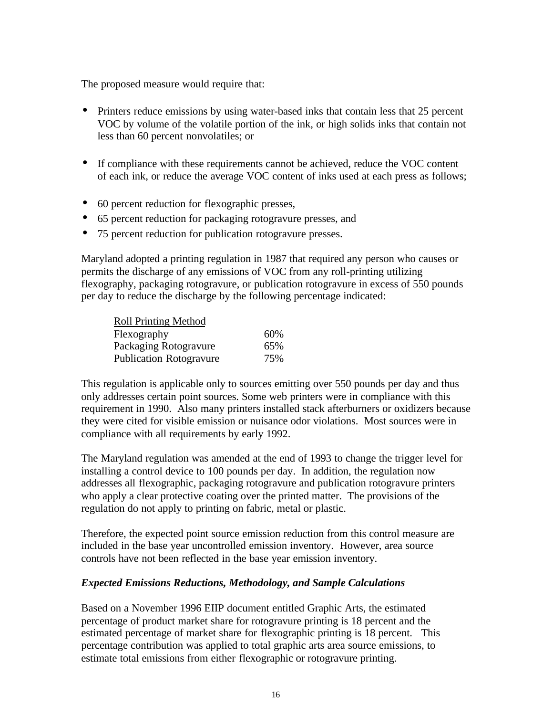The proposed measure would require that:

- Printers reduce emissions by using water-based inks that contain less that 25 percent VOC by volume of the volatile portion of the ink, or high solids inks that contain not less than 60 percent nonvolatiles; or
- If compliance with these requirements cannot be achieved, reduce the VOC content of each ink, or reduce the average VOC content of inks used at each press as follows;
- 60 percent reduction for flexographic presses,
- 65 percent reduction for packaging rotogravure presses, and
- 75 percent reduction for publication rotogravure presses.

Maryland adopted a printing regulation in 1987 that required any person who causes or permits the discharge of any emissions of VOC from any roll-printing utilizing flexography, packaging rotogravure, or publication rotogravure in excess of 550 pounds per day to reduce the discharge by the following percentage indicated:

| <b>Roll Printing Method</b>    |     |
|--------------------------------|-----|
| Flexography                    | 60% |
| Packaging Rotogravure          | 65% |
| <b>Publication Rotogravure</b> | 75% |

This regulation is applicable only to sources emitting over 550 pounds per day and thus only addresses certain point sources. Some web printers were in compliance with this requirement in 1990. Also many printers installed stack afterburners or oxidizers because they were cited for visible emission or nuisance odor violations. Most sources were in compliance with all requirements by early 1992.

The Maryland regulation was amended at the end of 1993 to change the trigger level for installing a control device to 100 pounds per day. In addition, the regulation now addresses all flexographic, packaging rotogravure and publication rotogravure printers who apply a clear protective coating over the printed matter. The provisions of the regulation do not apply to printing on fabric, metal or plastic.

Therefore, the expected point source emission reduction from this control measure are included in the base year uncontrolled emission inventory. However, area source controls have not been reflected in the base year emission inventory.

#### *Expected Emissions Reductions, Methodology, and Sample Calculations*

Based on a November 1996 EIIP document entitled Graphic Arts, the estimated percentage of product market share for rotogravure printing is 18 percent and the estimated percentage of market share for flexographic printing is 18 percent. This percentage contribution was applied to total graphic arts area source emissions, to estimate total emissions from either flexographic or rotogravure printing.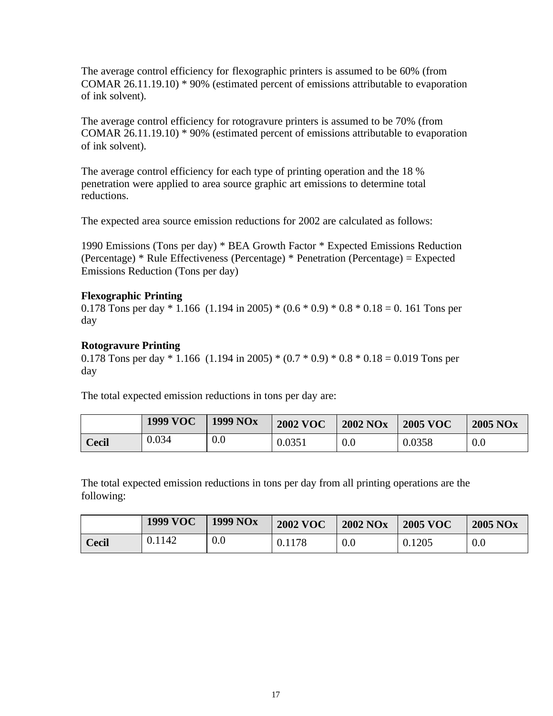The average control efficiency for flexographic printers is assumed to be 60% (from COMAR 26.11.19.10) \* 90% (estimated percent of emissions attributable to evaporation of ink solvent).

The average control efficiency for rotogravure printers is assumed to be 70% (from COMAR 26.11.19.10) \* 90% (estimated percent of emissions attributable to evaporation of ink solvent).

The average control efficiency for each type of printing operation and the 18 % penetration were applied to area source graphic art emissions to determine total reductions.

The expected area source emission reductions for 2002 are calculated as follows:

1990 Emissions (Tons per day) \* BEA Growth Factor \* Expected Emissions Reduction (Percentage) \* Rule Effectiveness (Percentage) \* Penetration (Percentage) = Expected Emissions Reduction (Tons per day)

#### **Flexographic Printing**

0.178 Tons per day  $*$  1.166 (1.194 in 2005)  $*(0.6 * 0.9) * 0.8 * 0.18 = 0.161$  Tons per day

#### **Rotogravure Printing**

0.178 Tons per day  $*$  1.166 (1.194 in 2005)  $*(0.7 * 0.9) * 0.8 * 0.18 = 0.019$  Tons per day

The total expected emission reductions in tons per day are:

|              | <b>1999 VOC</b> | <b>1999 NOx</b> | <b>2002 VOC</b> | <b>2002 NOx</b> | <b>2005 VOC</b> | <b>2005 NOx</b> |
|--------------|-----------------|-----------------|-----------------|-----------------|-----------------|-----------------|
| <b>Cecil</b> | 0.034           | 0.0             | 0.0351          | 0.0             | 0.0358          | 0.0             |

The total expected emission reductions in tons per day from all printing operations are the following:

|              | <b>1999 VOC</b> | <b>1999 NOx</b> | <b>2002 VOC</b> | <b>2002 NOx</b> | <b>2005 VOC</b> | <b>2005 NOx</b> |
|--------------|-----------------|-----------------|-----------------|-----------------|-----------------|-----------------|
| <b>Cecil</b> | 0.1142          | 0.0             | 0.1178          | 0.0             | 0.1205          | 0.0             |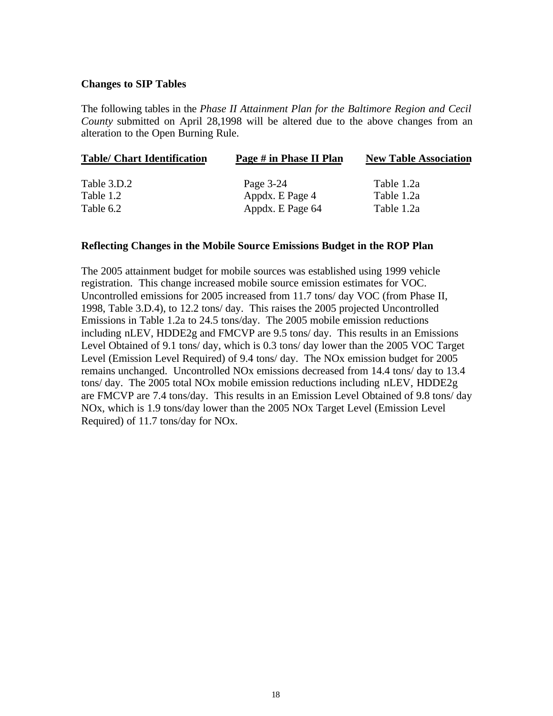#### **Changes to SIP Tables**

The following tables in the *Phase II Attainment Plan for the Baltimore Region and Cecil County* submitted on April 28,1998 will be altered due to the above changes from an alteration to the Open Burning Rule.

| <b>Table/ Chart Identification</b> | Page # in Phase II Plan | <b>New Table Association</b> |  |  |
|------------------------------------|-------------------------|------------------------------|--|--|
| Table 3.D.2                        | Page 3-24               | Table 1.2a                   |  |  |
| Table 1.2                          | Appdx. E Page 4         | Table 1.2a                   |  |  |
| Table 6.2                          | Appdx. E Page 64        | Table 1.2a                   |  |  |

#### **Reflecting Changes in the Mobile Source Emissions Budget in the ROP Plan**

The 2005 attainment budget for mobile sources was established using 1999 vehicle registration. This change increased mobile source emission estimates for VOC. Uncontrolled emissions for 2005 increased from 11.7 tons/ day VOC (from Phase II, 1998, Table 3.D.4), to 12.2 tons/ day. This raises the 2005 projected Uncontrolled Emissions in Table 1.2a to 24.5 tons/day. The 2005 mobile emission reductions including nLEV, HDDE2g and FMCVP are 9.5 tons/ day. This results in an Emissions Level Obtained of 9.1 tons/ day, which is 0.3 tons/ day lower than the 2005 VOC Target Level (Emission Level Required) of 9.4 tons/ day. The NOx emission budget for 2005 remains unchanged. Uncontrolled NOx emissions decreased from 14.4 tons/ day to 13.4 tons/ day. The 2005 total NOx mobile emission reductions including nLEV, HDDE2g are FMCVP are 7.4 tons/day. This results in an Emission Level Obtained of 9.8 tons/ day NOx, which is 1.9 tons/day lower than the 2005 NOx Target Level (Emission Level Required) of 11.7 tons/day for NOx.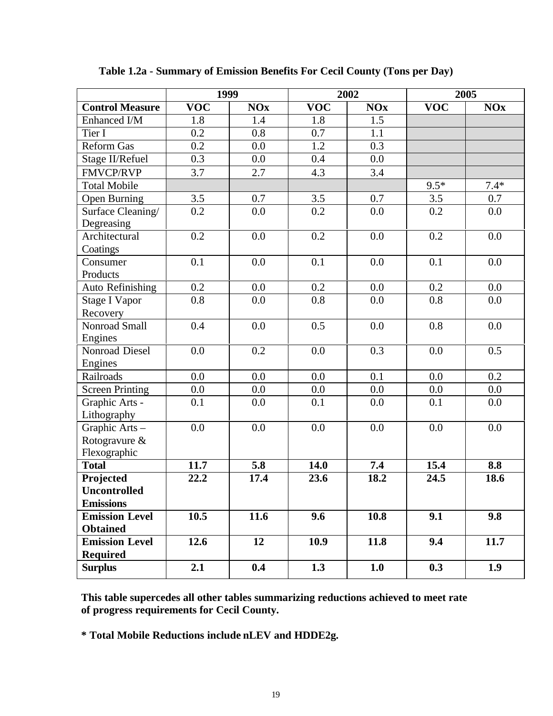|                         | 1999                    |                                             | 2002                    |                                             | 2005                    |            |
|-------------------------|-------------------------|---------------------------------------------|-------------------------|---------------------------------------------|-------------------------|------------|
| <b>Control Measure</b>  | $\overline{\text{VOC}}$ | $\overline{\textbf{N}}\textbf{O}\textbf{x}$ | $\overline{\text{VOC}}$ | $\overline{\textbf{N}}\textbf{O}\textbf{x}$ | $\overline{\text{VOC}}$ | <b>NOx</b> |
| Enhanced I/M            | 1.8                     | 1.4                                         | 1.8                     | 1.5                                         |                         |            |
| Tier I                  | 0.2                     | 0.8                                         | 0.7                     | 1.1                                         |                         |            |
| <b>Reform Gas</b>       | 0.2                     | 0.0                                         | 1.2                     | 0.3                                         |                         |            |
| Stage II/Refuel         | 0.3                     | 0.0                                         | 0.4                     | 0.0                                         |                         |            |
| <b>FMVCP/RVP</b>        | 3.7                     | 2.7                                         | 4.3                     | 3.4                                         |                         |            |
| <b>Total Mobile</b>     |                         |                                             |                         |                                             | $9.5*$                  | $7.4*$     |
| Open Burning            | 3.5                     | 0.7                                         | 3.5                     | 0.7                                         | 3.5                     | 0.7        |
| Surface Cleaning/       | 0.2                     | 0.0                                         | 0.2                     | 0.0                                         | 0.2                     | 0.0        |
| Degreasing              |                         |                                             |                         |                                             |                         |            |
| Architectural           | 0.2                     | 0.0                                         | 0.2                     | 0.0                                         | 0.2                     | 0.0        |
| Coatings                |                         |                                             |                         |                                             |                         |            |
| Consumer                | 0.1                     | 0.0                                         | 0.1                     | 0.0                                         | 0.1                     | 0.0        |
| Products                |                         |                                             |                         |                                             |                         |            |
| <b>Auto Refinishing</b> | 0.2                     | 0.0                                         | 0.2                     | 0.0                                         | 0.2                     | 0.0        |
| <b>Stage I Vapor</b>    | 0.8                     | 0.0                                         | 0.8                     | 0.0                                         | 0.8                     | 0.0        |
| Recovery                |                         |                                             |                         |                                             |                         |            |
| Nonroad Small           | 0.4                     | 0.0                                         | 0.5                     | 0.0                                         | 0.8                     | 0.0        |
| Engines                 |                         |                                             |                         |                                             |                         |            |
| Nonroad Diesel          | 0.0                     | 0.2                                         | 0.0                     | 0.3                                         | 0.0                     | 0.5        |
| Engines                 |                         |                                             |                         |                                             |                         |            |
| Railroads               | 0.0                     | 0.0                                         | 0.0                     | 0.1                                         | 0.0                     | 0.2        |
| <b>Screen Printing</b>  | 0.0                     | 0.0                                         | 0.0                     | 0.0                                         | 0.0                     | 0.0        |
| Graphic Arts -          | 0.1                     | $0.0\,$                                     | 0.1                     | 0.0                                         | 0.1                     | 0.0        |
| Lithography             |                         |                                             |                         |                                             |                         |            |
| Graphic Arts-           | 0.0                     | 0.0                                         | 0.0                     | 0.0                                         | 0.0                     | 0.0        |
| Rotogravure &           |                         |                                             |                         |                                             |                         |            |
| Flexographic            |                         |                                             |                         |                                             |                         |            |
| <b>Total</b>            | 11.7                    | 5.8                                         | 14.0                    | 7.4                                         | 15.4                    | 8.8        |
| Projected               | 22.2                    | 17.4                                        | 23.6                    | 18.2                                        | 24.5                    | 18.6       |
| Uncontrolled            |                         |                                             |                         |                                             |                         |            |
| <b>Emissions</b>        |                         |                                             |                         |                                             |                         |            |
| <b>Emission Level</b>   | 10.5                    | 11.6                                        | 9.6                     | 10.8                                        | 9.1                     | 9.8        |
| <b>Obtained</b>         |                         |                                             |                         |                                             |                         |            |
| <b>Emission Level</b>   | 12.6                    | 12                                          | 10.9                    | 11.8                                        | 9.4                     | 11.7       |
| <b>Required</b>         |                         |                                             |                         |                                             |                         |            |
| <b>Surplus</b>          | 2.1                     | 0.4                                         | 1.3                     | 1.0                                         | 0.3                     | 1.9        |

**Table 1.2a - Summary of Emission Benefits For Cecil County (Tons per Day)**

**This table supercedes all other tables summarizing reductions achieved to meet rate of progress requirements for Cecil County.**

**\* Total Mobile Reductions include nLEV and HDDE2g.**